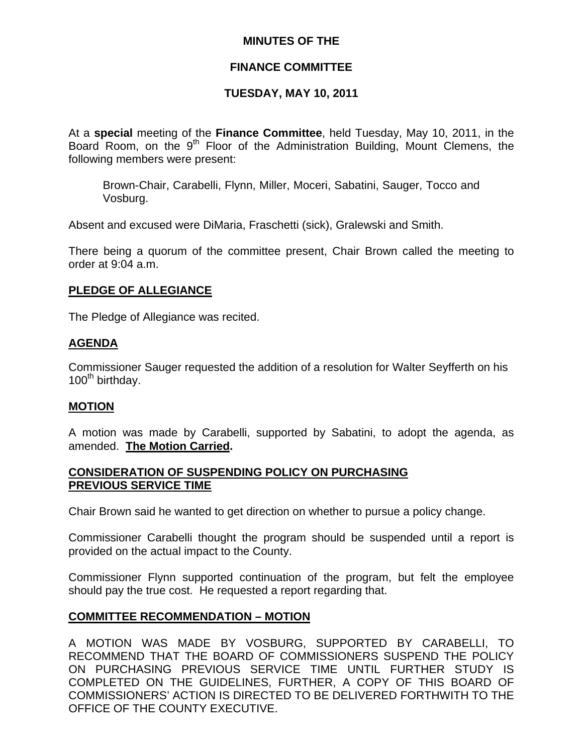# **MINUTES OF THE**

# **FINANCE COMMITTEE**

# **TUESDAY, MAY 10, 2011**

At a **special** meeting of the **Finance Committee**, held Tuesday, May 10, 2011, in the Board Room, on the  $9<sup>th</sup>$  Floor of the Administration Building, Mount Clemens, the following members were present:

Brown-Chair, Carabelli, Flynn, Miller, Moceri, Sabatini, Sauger, Tocco and Vosburg.

Absent and excused were DiMaria, Fraschetti (sick), Gralewski and Smith.

There being a quorum of the committee present, Chair Brown called the meeting to order at 9:04 a.m.

# **PLEDGE OF ALLEGIANCE**

The Pledge of Allegiance was recited.

#### **AGENDA**

Commissioner Sauger requested the addition of a resolution for Walter Seyfferth on his  $100<sup>th</sup>$  birthday.

#### **MOTION**

A motion was made by Carabelli, supported by Sabatini, to adopt the agenda, as amended. **The Motion Carried.** 

#### **CONSIDERATION OF SUSPENDING POLICY ON PURCHASING PREVIOUS SERVICE TIME**

Chair Brown said he wanted to get direction on whether to pursue a policy change.

Commissioner Carabelli thought the program should be suspended until a report is provided on the actual impact to the County.

Commissioner Flynn supported continuation of the program, but felt the employee should pay the true cost. He requested a report regarding that.

# **COMMITTEE RECOMMENDATION – MOTION**

A MOTION WAS MADE BY VOSBURG, SUPPORTED BY CARABELLI, TO RECOMMEND THAT THE BOARD OF COMMISSIONERS SUSPEND THE POLICY ON PURCHASING PREVIOUS SERVICE TIME UNTIL FURTHER STUDY IS COMPLETED ON THE GUIDELINES, FURTHER, A COPY OF THIS BOARD OF COMMISSIONERS' ACTION IS DIRECTED TO BE DELIVERED FORTHWITH TO THE OFFICE OF THE COUNTY EXECUTIVE.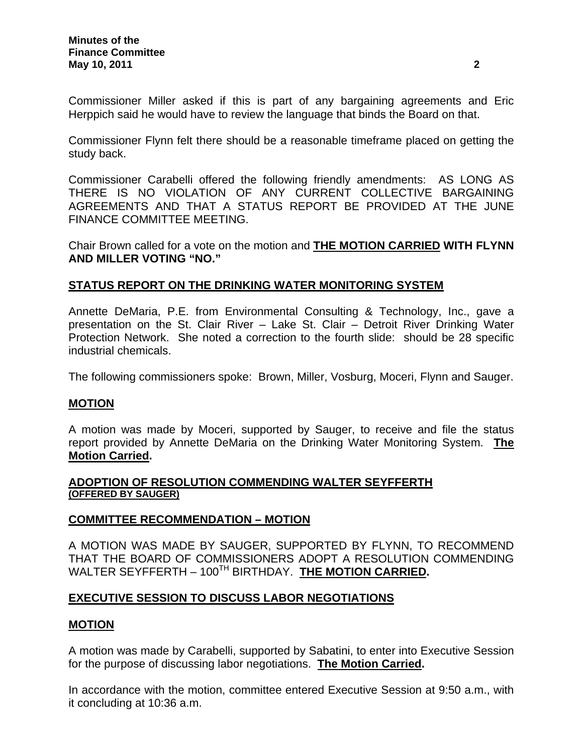Commissioner Miller asked if this is part of any bargaining agreements and Eric Herppich said he would have to review the language that binds the Board on that.

Commissioner Flynn felt there should be a reasonable timeframe placed on getting the study back.

Commissioner Carabelli offered the following friendly amendments: AS LONG AS THERE IS NO VIOLATION OF ANY CURRENT COLLECTIVE BARGAINING AGREEMENTS AND THAT A STATUS REPORT BE PROVIDED AT THE JUNE FINANCE COMMITTEE MEETING.

Chair Brown called for a vote on the motion and **THE MOTION CARRIED WITH FLYNN AND MILLER VOTING "NO."** 

#### **STATUS REPORT ON THE DRINKING WATER MONITORING SYSTEM**

Annette DeMaria, P.E. from Environmental Consulting & Technology, Inc., gave a presentation on the St. Clair River – Lake St. Clair – Detroit River Drinking Water Protection Network. She noted a correction to the fourth slide: should be 28 specific industrial chemicals.

The following commissioners spoke: Brown, Miller, Vosburg, Moceri, Flynn and Sauger.

#### **MOTION**

A motion was made by Moceri, supported by Sauger, to receive and file the status report provided by Annette DeMaria on the Drinking Water Monitoring System. **The Motion Carried.** 

#### **ADOPTION OF RESOLUTION COMMENDING WALTER SEYFFERTH (OFFERED BY SAUGER)**

#### **COMMITTEE RECOMMENDATION – MOTION**

A MOTION WAS MADE BY SAUGER, SUPPORTED BY FLYNN, TO RECOMMEND THAT THE BOARD OF COMMISSIONERS ADOPT A RESOLUTION COMMENDING WALTER SEYFFERTH – 100<sup>TH</sup> BIRTHDAY. **THE MOTION CARRIED.** 

#### **EXECUTIVE SESSION TO DISCUSS LABOR NEGOTIATIONS**

# **MOTION**

A motion was made by Carabelli, supported by Sabatini, to enter into Executive Session for the purpose of discussing labor negotiations. **The Motion Carried.** 

In accordance with the motion, committee entered Executive Session at 9:50 a.m., with it concluding at 10:36 a.m.